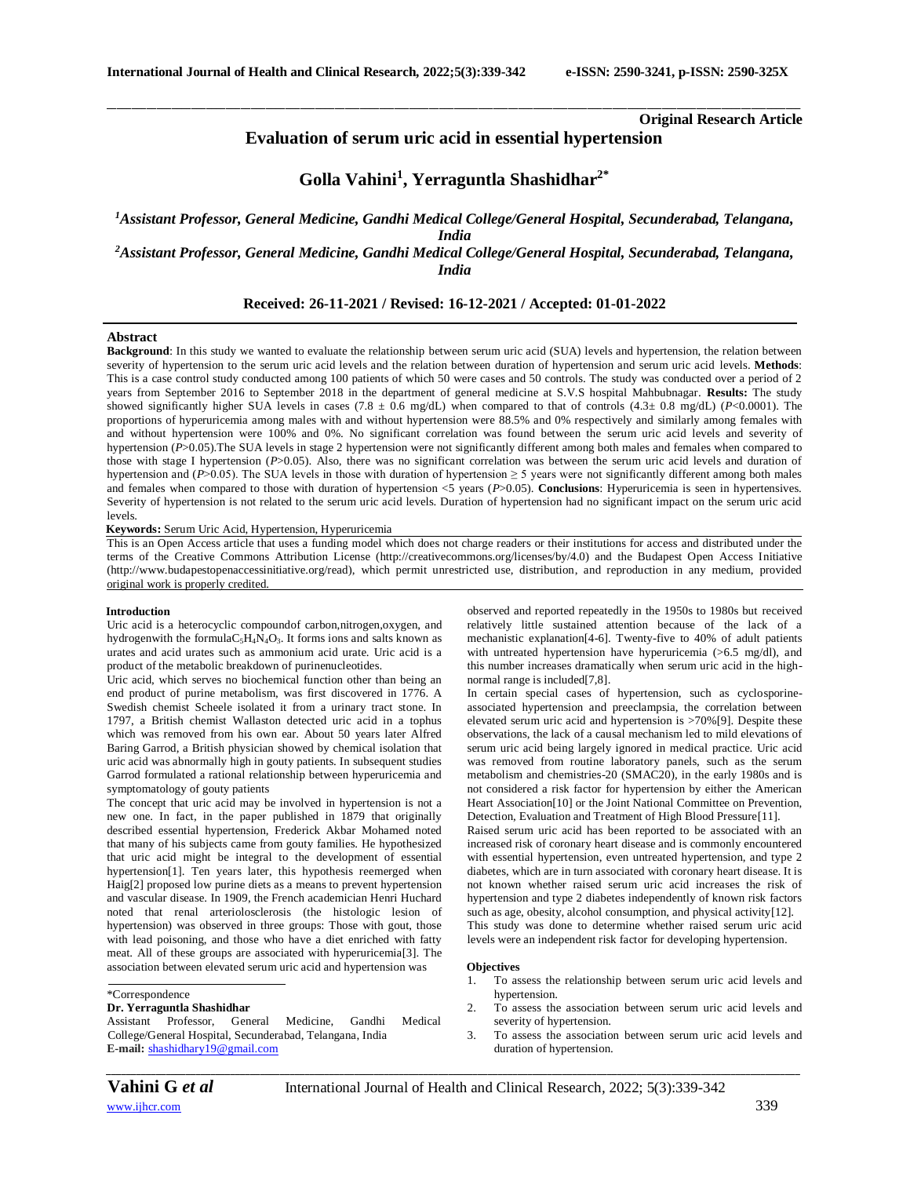**Original Research Article**

# **Evaluation of serum uric acid in essential hypertension**

\_\_\_\_\_\_\_\_\_\_\_\_\_\_\_\_\_\_\_\_\_\_\_\_\_\_\_\_\_\_\_\_\_\_\_\_\_\_\_\_\_\_\_\_\_\_\_\_\_\_\_\_\_\_\_\_\_\_\_\_\_\_\_\_\_\_\_\_\_\_\_\_\_\_\_\_\_\_\_\_\_\_\_\_\_\_\_\_\_\_\_\_\_\_\_\_\_\_\_\_\_\_\_\_\_\_\_\_\_\_\_\_\_\_\_\_\_\_\_\_\_\_\_\_\_\_\_\_\_\_\_\_\_\_\_\_\_\_\_\_

# **Golla Vahini<sup>1</sup> , Yerraguntla Shashidhar2\***

*<sup>1</sup>Assistant Professor, General Medicine, Gandhi Medical College/General Hospital, Secunderabad, Telangana, India <sup>2</sup>Assistant Professor, General Medicine, Gandhi Medical College/General Hospital, Secunderabad, Telangana,* 

*India*

# **Received: 26-11-2021 / Revised: 16-12-2021 / Accepted: 01-01-2022**

### **Abstract**

**Background**: In this study we wanted to evaluate the relationship between serum uric acid (SUA) levels and hypertension, the relation between severity of hypertension to the serum uric acid levels and the relation between duration of hypertension and serum uric acid levels. **Methods**: This is a case control study conducted among 100 patients of which 50 were cases and 50 controls. The study was conducted over a period of 2 years from September 2016 to September 2018 in the department of general medicine at S.V.S hospital Mahbubnagar. **Results:** The study showed significantly higher SUA levels in cases (7.8 ± 0.6 mg/dL) when compared to that of controls (4.3± 0.8 mg/dL) (*P*<0.0001). The proportions of hyperuricemia among males with and without hypertension were 88.5% and 0% respectively and similarly among females with and without hypertension were 100% and 0%. No significant correlation was found between the serum uric acid levels and severity of hypertension (*P*>0.05). The SUA levels in stage 2 hypertension were not significantly different among both males and females when compared to those with stage I hypertension (*P*>0.05). Also, there was no significant correlation was between the serum uric acid levels and duration of hypertension and ( $P$ >0.05). The SUA levels in those with duration of hypertension  $\geq$  5 years were not significantly different among both males and females when compared to those with duration of hypertension <5 years (*P*>0.05). **Conclusions**: Hyperuricemia is seen in hypertensives. Severity of hypertension is not related to the serum uric acid levels. Duration of hypertension had no significant impact on the serum uric acid levels.

**Keywords:** Serum Uric Acid, Hypertension, Hyperuricemia

This is an Open Access article that uses a funding model which does not charge readers or their institutions for access and distributed under the terms of the Creative Commons Attribution License (http://creativecommons.org/licenses/by/4.0) and the Budapest Open Access Initiative (http://www.budapestopenaccessinitiative.org/read), which permit unrestricted use, distribution, and reproduction in any medium, provided original work is properly credited.

### **Introduction**

Uric acid is a [heterocyclic compoundo](http://en.wikipedia.org/wiki/Heterocyclic_compound)f [carbon,](http://en.wikipedia.org/wiki/Carbon)[nitrogen,](http://en.wikipedia.org/wiki/Nitrogen)[oxygen,](http://en.wikipedia.org/wiki/Oxygen) and [hydrogenw](http://en.wikipedia.org/wiki/Hydrogen)ith the formula $C_5H_4N_4O_3$ . It forms ions and salts known as urates and acid urates such as ammonium acid urate. Uric acid is a product of the metabolic breakdown o[f purinen](http://en.wikipedia.org/wiki/Purine)ucleotides.

Uric acid, which serves no biochemical function other than being an end product of purine metabolism, was first discovered in 1776. A Swedish chemist Scheele isolated it from a urinary tract stone. In 1797, a British chemist Wallaston detected uric acid in a tophus which was removed from his own ear. About 50 years later Alfred Baring Garrod, a British physician showed by chemical isolation that uric acid was abnormally high in gouty patients. In subsequent studies Garrod formulated a rational relationship between hyperuricemia and symptomatology of gouty patients

The concept that uric acid may be involved in hypertension is not a new one. In fact, in the paper published in 1879 that originally described essential hypertension, Frederick Akbar Mohamed noted that many of his subjects came from gouty families. He hypothesized that uric acid might be integral to the development of essential hypertension[1]. Ten years later, this hypothesis reemerged when Haig[2] proposed low purine diets as a means to prevent hypertension and vascular disease. In 1909, the French academician Henri Huchard noted that renal arteriolosclerosis (the histologic lesion of hypertension) was observed in three groups: Those with gout, those with lead poisoning, and those who have a diet enriched with fatty meat. All of these groups are associated with hyperuricemia[3]. The association between elevated serum uric acid and hypertension was

### \*Correspondence

### **Dr. Yerraguntla Shashidhar**

Assistant Professor, General Medicine, Gandhi Medical College/General Hospital, Secunderabad, Telangana, India **E-mail:** [shashidhary19@gmail.com](mailto:shashidhary19@gmail.com)

observed and reported repeatedly in the 1950s to 1980s but received relatively little sustained attention because of the lack of a mechanistic explanation[4-6]. Twenty-five to 40% of adult patients with untreated hypertension have hyperuricemia ( $>6.5$  mg/dl), and this number increases dramatically when serum uric acid in the highnormal range is included[7,8].

In certain special cases of hypertension, such as cyclosporineassociated hypertension and preeclampsia, the correlation between elevated serum uric acid and hypertension is >70%[9]. Despite these observations, the lack of a causal mechanism led to mild elevations of serum uric acid being largely ignored in medical practice. Uric acid was removed from routine laboratory panels, such as the serum metabolism and chemistries-20 (SMAC20), in the early 1980s and is not considered a risk factor for hypertension by either the American Heart Association[10] or the Joint National Committee on Prevention, Detection, Evaluation and Treatment of High Blood Pressure[11].

Raised serum uric acid has been reported to be associated with an increased risk of coronary heart disease and is commonly encountered with essential hypertension, even untreated hypertension, and type 2 diabetes, which are in turn associated with coronary heart disease. It is not known whether raised serum uric acid increases the risk of hypertension and type 2 diabetes independently of known risk factors such as age, obesity, alcohol consumption, and physical activity[12]. This study was done to determine whether raised serum uric acid levels were an independent risk factor for developing hypertension.

#### **Objectives**

- 1. To assess the relationship between serum uric acid levels and hypertension.
- 2. To assess the association between serum uric acid levels and severity of hypertension.
- 3. To assess the association between serum uric acid levels and duration of hypertension.

**Vahini G** *et al* **International Journal of Health and Clinical Research**, 2022; 5(3):339-342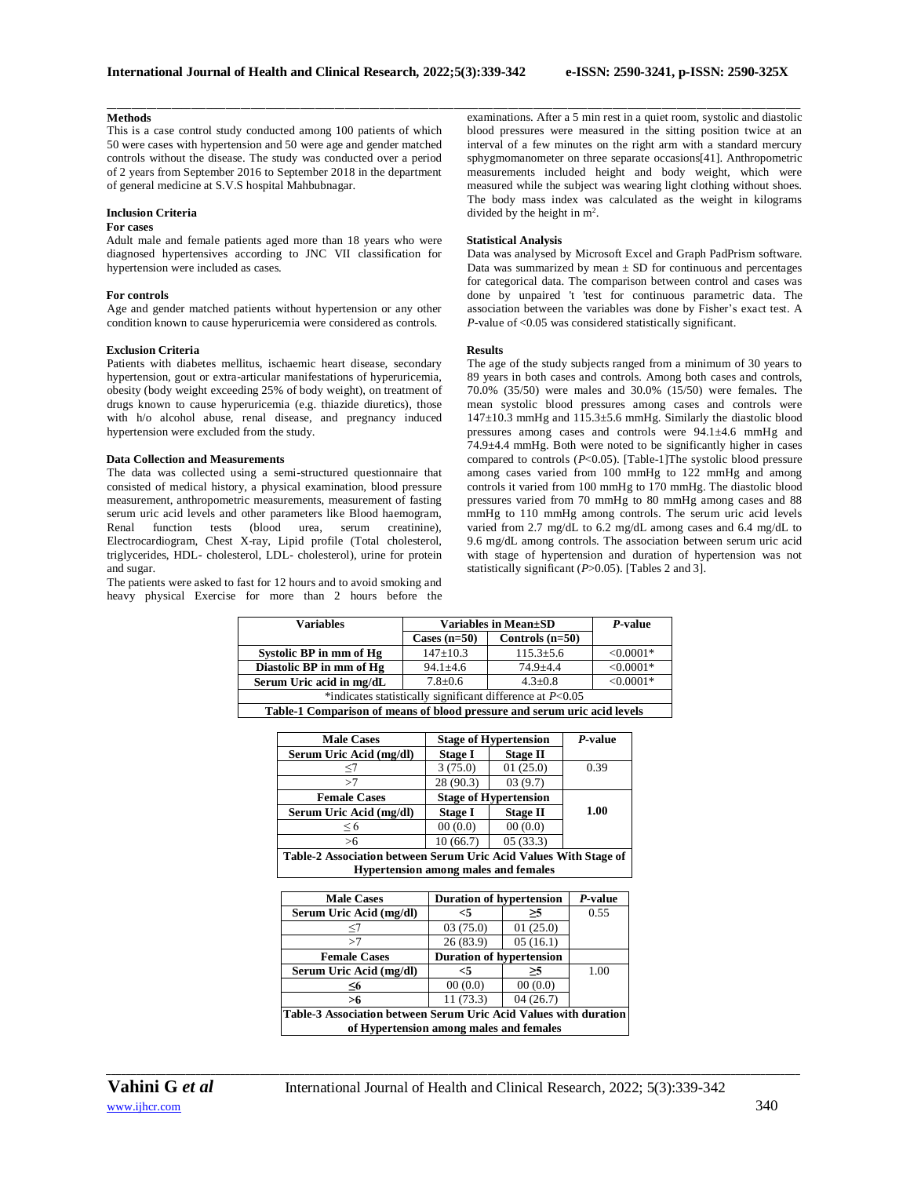### **Methods**

This is a case control study conducted among 100 patients of which 50 were cases with hypertension and 50 were age and gender matched controls without the disease. The study was conducted over a period of 2 years from September 2016 to September 2018 in the department of general medicine at S.V.S hospital Mahbubnagar.

## **Inclusion Criteria**

# **For cases**

Adult male and female patients aged more than 18 years who were diagnosed hypertensives according to JNC VII classification for hypertension were included as cases.

#### **For controls**

Age and gender matched patients without hypertension or any other condition known to cause hyperuricemia were considered as controls.

### **Exclusion Criteria**

Patients with diabetes mellitus, ischaemic heart disease, secondary hypertension, gout or extra-articular manifestations of hyperuricemia, obesity (body weight exceeding 25% of body weight), on treatment of drugs known to cause hyperuricemia (e.g. thiazide diuretics), those with h/o alcohol abuse, renal disease, and pregnancy induced hypertension were excluded from the study.

### **Data Collection and Measurements**

The data was collected using a semi-structured questionnaire that consisted of medical history, a physical examination, blood pressure measurement, anthropometric measurements, measurement of fasting serum uric acid levels and other parameters like Blood haemogram, Renal function tests (blood urea, serum creatinine), Electrocardiogram, Chest X-ray, Lipid profile (Total cholesterol, triglycerides, HDL- cholesterol, LDL- cholesterol), urine for protein and sugar.

The patients were asked to fast for 12 hours and to avoid smoking and heavy physical Exercise for more than 2 hours before the

\_\_\_\_\_\_\_\_\_\_\_\_\_\_\_\_\_\_\_\_\_\_\_\_\_\_\_\_\_\_\_\_\_\_\_\_\_\_\_\_\_\_\_\_\_\_\_\_\_\_\_\_\_\_\_\_\_\_\_\_\_\_\_\_\_\_\_\_\_\_\_\_\_\_\_\_\_\_\_\_\_\_\_\_\_\_\_\_\_\_\_\_\_\_\_\_\_\_\_\_\_\_\_\_\_\_\_\_\_\_\_\_\_\_\_\_\_\_\_\_\_\_\_\_\_\_\_\_\_\_\_\_\_\_\_\_\_\_\_\_ examinations. After a 5 min rest in a quiet room, systolic and diastolic blood pressures were measured in the sitting position twice at an interval of a few minutes on the right arm with a standard mercury sphygmomanometer on three separate occasions[41]. Anthropometric measurements included height and body weight, which were measured while the subject was wearing light clothing without shoes. The body mass index was calculated as the weight in kilograms divided by the height in m<sup>2</sup>.

#### **Statistical Analysis**

Data was analysed by Microsoft Excel and Graph PadPrism software. Data was summarized by mean  $\pm$  SD for continuous and percentages for categorical data. The comparison between control and cases was done by unpaired 't 'test for continuous parametric data. The association between the variables was done by Fisher's exact test. A *P*-value of <0.05 was considered statistically significant.

#### **Results**

The age of the study subjects ranged from a minimum of 30 years to 89 years in both cases and controls. Among both cases and controls, 70.0% (35/50) were males and 30.0% (15/50) were females. The mean systolic blood pressures among cases and controls were 147±10.3 mmHg and 115.3±5.6 mmHg. Similarly the diastolic blood pressures among cases and controls were 94.1±4.6 mmHg and 74.9±4.4 mmHg. Both were noted to be significantly higher in cases compared to controls (*P*<0.05). [Table-1]The systolic blood pressure among cases varied from 100 mmHg to 122 mmHg and among controls it varied from 100 mmHg to 170 mmHg. The diastolic blood pressures varied from 70 mmHg to 80 mmHg among cases and 88 mmHg to 110 mmHg among controls. The serum uric acid levels varied from 2.7 mg/dL to 6.2 mg/dL among cases and 6.4 mg/dL to 9.6 mg/dL among controls. The association between serum uric acid with stage of hypertension and duration of hypertension was not statistically significant (*P*>0.05). [Tables 2 and 3].

| <b>Variables</b>                                                         | Variables in Mean±SD | P-value           |             |  |  |  |
|--------------------------------------------------------------------------|----------------------|-------------------|-------------|--|--|--|
|                                                                          | Cases $(n=50)$       | Controls $(n=50)$ |             |  |  |  |
| Systolic BP in mm of Hg                                                  | $147 \pm 10.3$       | $115.3 \pm 5.6$   | $< 0.0001*$ |  |  |  |
| Diastolic BP in mm of Hg                                                 | $94.1 \pm 4.6$       | $74.9 + 4.4$      | $< 0.0001*$ |  |  |  |
| Serum Uric acid in mg/dL                                                 | $7.8 \pm 0.6$        | $4.3 + 0.8$       | $< 0.0001*$ |  |  |  |
| *indicates statistically significant difference at $P<0.05$              |                      |                   |             |  |  |  |
| Table-1 Comparison of means of blood pressure and serum uric acid levels |                      |                   |             |  |  |  |

| <b>Male Cases</b>                                                | <b>Stage of Hypertension</b> |                 | P-value |  |  |
|------------------------------------------------------------------|------------------------------|-----------------|---------|--|--|
| Serum Uric Acid (mg/dl)                                          | <b>Stage I</b>               | <b>Stage II</b> |         |  |  |
| <7                                                               | 3(75.0)                      | 01(25.0)        | 0.39    |  |  |
| >7                                                               | 28 (90.3)                    | 03(9.7)         |         |  |  |
| <b>Female Cases</b>                                              | <b>Stage of Hypertension</b> |                 |         |  |  |
| Serum Uric Acid (mg/dl)                                          | <b>Stage I</b>               | <b>Stage II</b> | 1.00    |  |  |
| $\leq 6$                                                         | 00(0.0)                      | 00(0.0)         |         |  |  |
| >6                                                               | 10(66.7)                     | 05(33.3)        |         |  |  |
| Table-2 Association between Serum Uric Acid Values With Stage of |                              |                 |         |  |  |
| <b>Hypertension among males and females</b>                      |                              |                 |         |  |  |

| <b>Male Cases</b>                                                | <b>Duration of hypertension</b> |          | P-value |  |  |
|------------------------------------------------------------------|---------------------------------|----------|---------|--|--|
| Serum Uric Acid (mg/dl)                                          | $\leq$ 5                        | >5       | 0.55    |  |  |
| $<$ /                                                            | 03(75.0)                        | 01(25.0) |         |  |  |
| >7                                                               | 26(83.9)                        | 05(16.1) |         |  |  |
| <b>Female Cases</b>                                              | <b>Duration of hypertension</b> |          |         |  |  |
| Serum Uric Acid (mg/dl)                                          | <5                              | >5       | 1.00    |  |  |
| <6                                                               | 00(0.0)                         | 00(0.0)  |         |  |  |
| >6                                                               | 11(73.3)                        | 04(26.7) |         |  |  |
| Table-3 Association between Serum Uric Acid Values with duration |                                 |          |         |  |  |
| of Hypertension among males and females                          |                                 |          |         |  |  |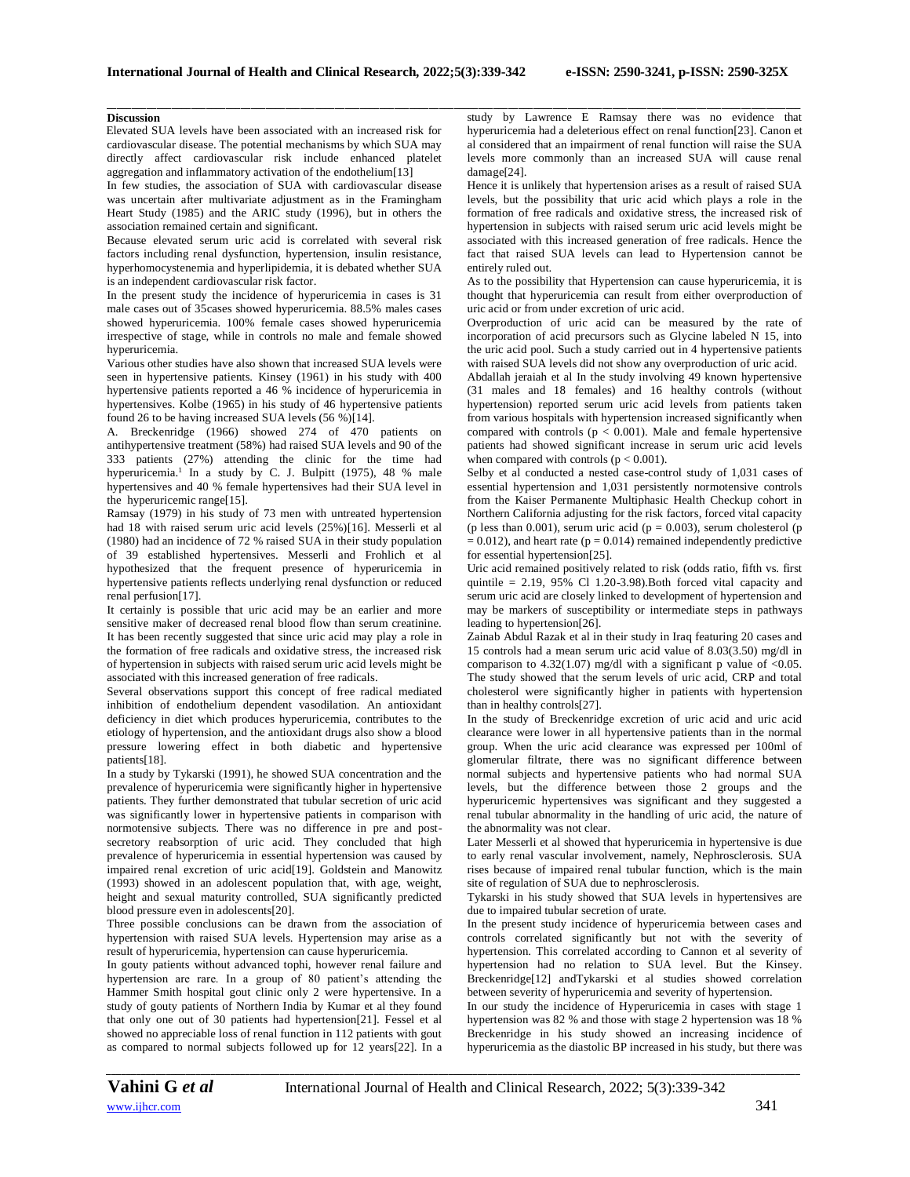\_\_\_\_\_\_\_\_\_\_\_\_\_\_\_\_\_\_\_\_\_\_\_\_\_\_\_\_\_\_\_\_\_\_\_\_\_\_\_\_\_\_\_\_\_\_\_\_\_\_\_\_\_\_\_\_\_\_\_\_\_\_\_\_\_\_\_\_\_\_\_\_\_\_\_\_\_\_\_\_\_\_\_\_\_\_\_\_\_\_\_\_\_\_\_\_\_\_\_\_\_\_\_\_\_\_\_\_\_\_\_\_\_\_\_\_\_\_\_\_\_\_\_\_\_\_\_\_\_\_\_\_\_\_\_\_\_\_\_\_

## **Discussion**

Elevated SUA levels have been associated with an increased risk for cardiovascular disease. The potential mechanisms by which SUA may directly affect cardiovascular risk include enhanced platelet aggregation and inflammatory activation of the endothelium[13]

In few studies, the association of SUA with cardiovascular disease was uncertain after multivariate adjustment as in the Framingham Heart Study (1985) and the ARIC study (1996), but in others the association remained certain and significant.

Because elevated serum uric acid is correlated with several risk factors including renal dysfunction, hypertension, insulin resistance, hyperhomocystenemia and hyperlipidemia, it is debated whether SUA is an independent cardiovascular risk factor.

In the present study the incidence of hyperuricemia in cases is 31 male cases out of 35cases showed hyperuricemia. 88.5% males cases showed hyperuricemia. 100% female cases showed hyperuricemia irrespective of stage, while in controls no male and female showed hyperuricemia.

Various other studies have also shown that increased SUA levels were seen in hypertensive patients. Kinsey (1961) in his study with 400 hypertensive patients reported a 46 % incidence of hyperuricemia in hypertensives. Kolbe (1965) in his study of 46 hypertensive patients found 26 to be having increased SUA levels (56 %)[14].

A. Breckenridge (1966) showed 274 of 470 patients on antihypertensive treatment (58%) had raised SUA levels and 90 of the 333 patients (27%) attending the clinic for the time had hyperuricemia. 1 In a study by C. J. Bulpitt (1975), 48 % male hypertensives and 40 % female hypertensives had their SUA level in the hyperuricemic range[15].

Ramsay (1979) in his study of 73 men with untreated hypertension had 18 with raised serum uric acid levels (25%)[16]. Messerli et al (1980) had an incidence of 72 % raised SUA in their study population of 39 established hypertensives. Messerli and Frohlich et al hypothesized that the frequent presence of hyperuricemia in hypertensive patients reflects underlying renal dysfunction or reduced renal perfusion[17].

It certainly is possible that uric acid may be an earlier and more sensitive maker of decreased renal blood flow than serum creatinine. It has been recently suggested that since uric acid may play a role in the formation of free radicals and oxidative stress, the increased risk of hypertension in subjects with raised serum uric acid levels might be associated with this increased generation of free radicals.

Several observations support this concept of free radical mediated inhibition of endothelium dependent vasodilation. An antioxidant deficiency in diet which produces hyperuricemia, contributes to the etiology of hypertension, and the antioxidant drugs also show a blood pressure lowering effect in both diabetic and hypertensive patients[18].

In a study by Tykarski (1991), he showed SUA concentration and the prevalence of hyperuricemia were significantly higher in hypertensive patients. They further demonstrated that tubular secretion of uric acid was significantly lower in hypertensive patients in comparison with normotensive subjects. There was no difference in pre and postsecretory reabsorption of uric acid. They concluded that high prevalence of hyperuricemia in essential hypertension was caused by impaired renal excretion of uric acid[19]. Goldstein and Manowitz (1993) showed in an adolescent population that, with age, weight, height and sexual maturity controlled, SUA significantly predicted blood pressure even in adolescents[20].

Three possible conclusions can be drawn from the association of hypertension with raised SUA levels. Hypertension may arise as a result of hyperuricemia, hypertension can cause hyperuricemia.

In gouty patients without advanced tophi, however renal failure and hypertension are rare. In a group of 80 patient's attending the Hammer Smith hospital gout clinic only 2 were hypertensive. In a study of gouty patients of Northern India by Kumar et al they found that only one out of 30 patients had hypertension[21]. Fessel et al showed no appreciable loss of renal function in 112 patients with gout as compared to normal subjects followed up for 12 years[22]. In a study by Lawrence E Ramsay there was no evidence that hyperuricemia had a deleterious effect on renal function[23]. Canon et al considered that an impairment of renal function will raise the SUA levels more commonly than an increased SUA will cause renal damage[24].

Hence it is unlikely that hypertension arises as a result of raised SUA levels, but the possibility that uric acid which plays a role in the formation of free radicals and oxidative stress, the increased risk of hypertension in subjects with raised serum uric acid levels might be associated with this increased generation of free radicals. Hence the fact that raised SUA levels can lead to Hypertension cannot be entirely ruled out.

As to the possibility that Hypertension can cause hyperuricemia, it is thought that hyperuricemia can result from either overproduction of uric acid or from under excretion of uric acid.

Overproduction of uric acid can be measured by the rate of incorporation of acid precursors such as Glycine labeled N 15, into the uric acid pool. Such a study carried out in 4 hypertensive patients with raised SUA levels did not show any overproduction of uric acid.

Abdallah jeraiah et al In the study involving 49 known hypertensive (31 males and 18 females) and 16 healthy controls (without hypertension) reported serum uric acid levels from patients taken from various hospitals with hypertension increased significantly when compared with controls ( $p < 0.001$ ). Male and female hypertensive patients had showed significant increase in serum uric acid levels when compared with controls  $(p < 0.001)$ .

Selby et al conducted a nested case-control study of 1,031 cases of essential hypertension and 1,031 persistently normotensive controls from the Kaiser Permanente Multiphasic Health Checkup cohort in Northern California adjusting for the risk factors, forced vital capacity (p less than 0.001), serum uric acid ( $p = 0.003$ ), serum cholesterol (p  $= 0.012$ ), and heart rate (p = 0.014) remained independently predictive for essential hypertension[25].

Uric acid remained positively related to risk (odds ratio, fifth vs. first quintile =  $2.19$ ,  $95\%$  Cl 1.20-3.98). Both forced vital capacity and serum uric acid are closely linked to development of hypertension and may be markers of susceptibility or intermediate steps in pathways leading to hypertension[26].

Zainab Abdul Razak et al in their study in Iraq featuring 20 cases and 15 controls had a mean serum uric acid value of 8.03(3.50) mg/dl in comparison to 4.32(1.07) mg/dl with a significant p value of <0.05. The study showed that the serum levels of uric acid, CRP and total cholesterol were significantly higher in patients with hypertension than in healthy controls[27].

In the study of Breckenridge excretion of uric acid and uric acid clearance were lower in all hypertensive patients than in the normal group. When the uric acid clearance was expressed per 100ml of glomerular filtrate, there was no significant difference between normal subjects and hypertensive patients who had normal SUA levels, but the difference between those 2 groups and the hyperuricemic hypertensives was significant and they suggested a renal tubular abnormality in the handling of uric acid, the nature of the abnormality was not clear.

Later Messerli et al showed that hyperuricemia in hypertensive is due to early renal vascular involvement, namely, Nephrosclerosis. SUA rises because of impaired renal tubular function, which is the main site of regulation of SUA due to nephrosclerosis.

Tykarski in his study showed that SUA levels in hypertensives are due to impaired tubular secretion of urate.

In the present study incidence of hyperuricemia between cases and controls correlated significantly but not with the severity of hypertension. This correlated according to Cannon et al severity of hypertension had no relation to SUA level. But the Kinsey. Breckenridge[12] andTykarski et al studies showed correlation between severity of hyperuricemia and severity of hypertension.

In our study the incidence of Hyperuricemia in cases with stage 1 hypertension was 82 % and those with stage 2 hypertension was 18 % Breckenridge in his study showed an increasing incidence of hyperuricemia as the diastolic BP increased in his study, but there was